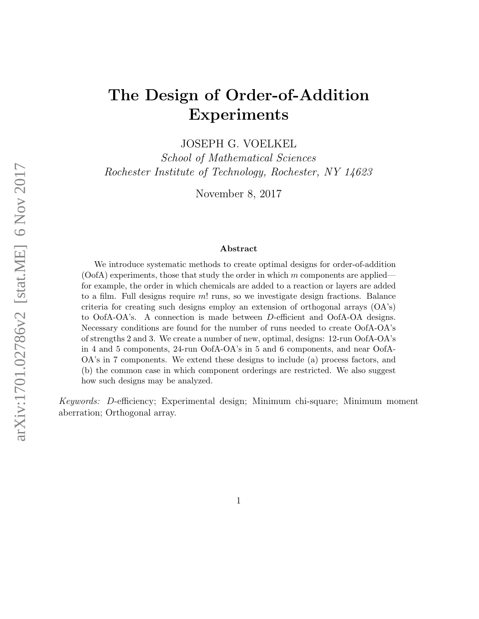# The Design of Order-of-Addition Experiments

JOSEPH G. VOELKEL

School of Mathematical Sciences Rochester Institute of Technology, Rochester, NY 14623

November 8, 2017

#### Abstract

We introduce systematic methods to create optimal designs for order-of-addition  $($ OofA) experiments, those that study the order in which m components are applied for example, the order in which chemicals are added to a reaction or layers are added to a film. Full designs require m! runs, so we investigate design fractions. Balance criteria for creating such designs employ an extension of orthogonal arrays  $(OA's)$ to OofA-OA's. A connection is made between D-efficient and OofA-OA designs. Necessary conditions are found for the number of runs needed to create OofA-OA's of strengths 2 and 3. We create a number of new, optimal, designs: 12-run OofA-OA's in 4 and 5 components, 24-run OofA-OA's in 5 and 6 components, and near OofA-OA's in 7 components. We extend these designs to include (a) process factors, and (b) the common case in which component orderings are restricted. We also suggest how such designs may be analyzed.

Keywords: D-efficiency; Experimental design; Minimum chi-square; Minimum moment aberration; Orthogonal array.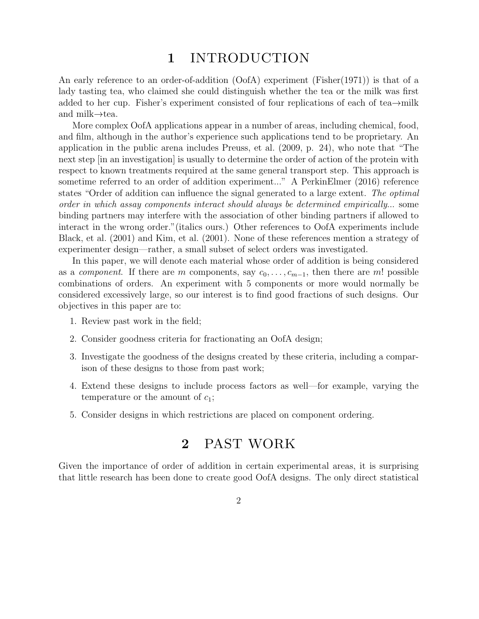## 1 INTRODUCTION

An early reference to an order-of-addition (OofA) experiment (Fisher(1971)) is that of a lady tasting tea, who claimed she could distinguish whether the tea or the milk was first added to her cup. Fisher's experiment consisted of four replications of each of tea→milk and milk→tea.

More complex OofA applications appear in a number of areas, including chemical, food, and film, although in the author's experience such applications tend to be proprietary. An application in the public arena includes Preuss, et al. (2009, p. 24), who note that "The next step [in an investigation] is usually to determine the order of action of the protein with respect to known treatments required at the same general transport step. This approach is sometime referred to an order of addition experiment..." A PerkinElmer (2016) reference states "Order of addition can influence the signal generated to a large extent. The optimal order in which assay components interact should always be determined empirically... some binding partners may interfere with the association of other binding partners if allowed to interact in the wrong order."(italics ours.) Other references to OofA experiments include Black, et al. (2001) and Kim, et al. (2001). None of these references mention a strategy of experimenter design—rather, a small subset of select orders was investigated.

In this paper, we will denote each material whose order of addition is being considered as a *component*. If there are m components, say  $c_0, \ldots, c_{m-1}$ , then there are m! possible combinations of orders. An experiment with 5 components or more would normally be considered excessively large, so our interest is to find good fractions of such designs. Our objectives in this paper are to:

- 1. Review past work in the field;
- 2. Consider goodness criteria for fractionating an OofA design;
- 3. Investigate the goodness of the designs created by these criteria, including a comparison of these designs to those from past work;
- 4. Extend these designs to include process factors as well—for example, varying the temperature or the amount of  $c_1$ ;
- 5. Consider designs in which restrictions are placed on component ordering.

## 2 PAST WORK

Given the importance of order of addition in certain experimental areas, it is surprising that little research has been done to create good OofA designs. The only direct statistical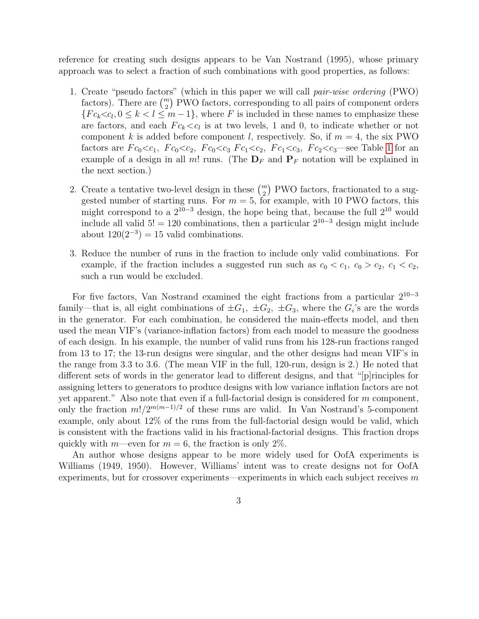reference for creating such designs appears to be Van Nostrand (1995), whose primary approach was to select a fraction of such combinations with good properties, as follows:

- 1. Create "pseudo factors" (which in this paper we will call pair-wise ordering (PWO) factors). There are  $\binom{m}{2}$  PWO factors, corresponding to all pairs of component orders  ${Fc_k < c_l, 0 \le k < l \le m-1}$ , where F is included in these names to emphasize these are factors, and each  $Fc_k < c_l$  is at two levels, 1 and 0, to indicate whether or not component k is added before component l, respectively. So, if  $m = 4$ , the six PWO factors are  $Fc_0 < c_1$ ,  $Fc_0 < c_2$ ,  $Fc_0 < c_3$ ,  $Fc_1 < c_2$ ,  $Fc_1 < c_3$ ,  $Fc_2 < c_3$  see Table [1](#page-3-0) for an example of a design in all m! runs. (The  $\mathbf{D}_F$  and  $\mathbf{P}_F$  notation will be explained in the next section.)
- 2. Create a tentative two-level design in these  $\binom{m}{2}$  PWO factors, fractionated to a suggested number of starting runs. For  $m = 5$ , for example, with 10 PWO factors, this might correspond to a  $2^{10-3}$  design, the hope being that, because the full  $2^{10}$  would include all valid  $5! = 120$  combinations, then a particular  $2^{10-3}$  design might include about  $120(2^{-3}) = 15$  valid combinations.
- 3. Reduce the number of runs in the fraction to include only valid combinations. For example, if the fraction includes a suggested run such as  $c_0 < c_1$ ,  $c_0 > c_2$ ,  $c_1 < c_2$ , such a run would be excluded.

For five factors, Van Nostrand examined the eight fractions from a particular  $2^{10-3}$ family—that is, all eight combinations of  $\pm G_1$ ,  $\pm G_2$ ,  $\pm G_3$ , where the  $G_i$ 's are the words in the generator. For each combination, he considered the main-effects model, and then used the mean VIF's (variance-inflation factors) from each model to measure the goodness of each design. In his example, the number of valid runs from his 128-run fractions ranged from 13 to 17; the 13-run designs were singular, and the other designs had mean VIF's in the range from 3.3 to 3.6. (The mean VIF in the full, 120-run, design is 2.) He noted that different sets of words in the generator lead to different designs, and that "[p]rinciples for assigning letters to generators to produce designs with low variance inflation factors are not yet apparent." Also note that even if a full-factorial design is considered for  $m$  component, only the fraction  $m!/2^{m(m-1)/2}$  of these runs are valid. In Van Nostrand's 5-component example, only about 12% of the runs from the full-factorial design would be valid, which is consistent with the fractions valid in his fractional-factorial designs. This fraction drops quickly with m—even for  $m = 6$ , the fraction is only 2%.

An author whose designs appear to be more widely used for OofA experiments is Williams (1949, 1950). However, Williams' intent was to create designs not for OofA experiments, but for crossover experiments—experiments in which each subject receives  $m$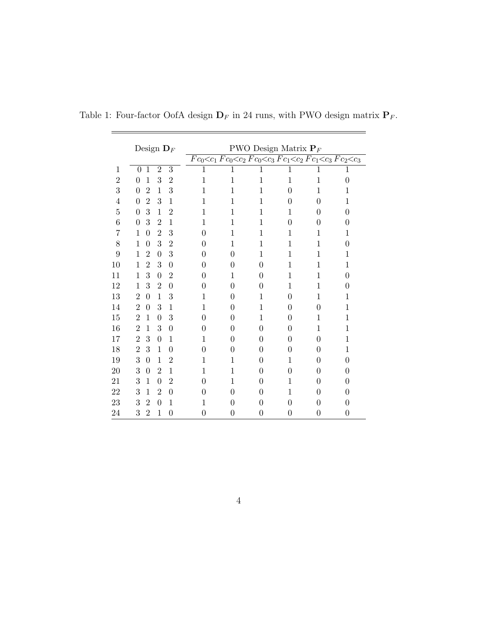<span id="page-3-0"></span>

|                | Design $\mathbf{D}_F$ |                  |                |                  |             | <b>PWO</b> Design Matrix $P_F$                                 |                |                  |                |                  |  |  |
|----------------|-----------------------|------------------|----------------|------------------|-------------|----------------------------------------------------------------|----------------|------------------|----------------|------------------|--|--|
|                |                       |                  |                |                  |             | $Fc_0 < c_1Fc_0 < c_2Fc_0 < c_3Fc_1 < c_2Fc_1 < c_3Fc_2 < c_3$ |                |                  |                |                  |  |  |
| $\mathbf{1}$   | $\overline{0}$        | $\mathbf{1}$     | $\overline{2}$ | $\overline{3}$   | $\mathbf 1$ | $\mathbf 1$                                                    | 1              | $\mathbf 1$      | $\mathbf 1$    | $\mathbf 1$      |  |  |
| $\overline{2}$ | $\overline{0}$        | $\mathbf{1}$     | 3              | $\overline{2}$   | 1           | $\mathbf{1}$                                                   | $\mathbf{1}$   | $\mathbf 1$      | $\mathbf{1}$   | $\boldsymbol{0}$ |  |  |
| 3              | $\overline{0}$        | $\overline{2}$   | $\mathbf{1}$   | 3                | 1           | 1                                                              | $\mathbf{1}$   | $\overline{0}$   | 1              | 1                |  |  |
| $\overline{4}$ | $\overline{0}$        | $\overline{2}$   | 3              | $\mathbf{1}$     | 1           | 1                                                              | $\mathbf{1}$   | $\overline{0}$   | $\overline{0}$ | $\mathbf{1}$     |  |  |
| 5              | $\overline{0}$        | 3                | $\mathbf{1}$   | $\overline{2}$   | 1           | 1                                                              | $\mathbf{1}$   | 1                | $\overline{0}$ | $\overline{0}$   |  |  |
| 6              | $\overline{0}$        | 3                | $\overline{2}$ | $\mathbf{1}$     | 1           | 1                                                              | $\mathbf 1$    | $\overline{0}$   | $\overline{0}$ | 0                |  |  |
| 7              | 1                     | $\overline{0}$   | $\overline{2}$ | 3                | $\theta$    | 1                                                              | 1              | 1                | 1              | 1                |  |  |
| 8              | 1                     | $\boldsymbol{0}$ | 3              | $\overline{2}$   | 0           | 1                                                              | $\mathbf 1$    | 1                | $\mathbf 1$    | 0                |  |  |
| 9              | 1                     | $\overline{2}$   | $\overline{0}$ | 3                | $\theta$    | $\theta$                                                       | $\mathbf 1$    | $\mathbf 1$      | $\mathbf 1$    | 1                |  |  |
| 10             | 1                     | $\overline{2}$   | 3              | $\overline{0}$   | $\theta$    | $\theta$                                                       | 0              | 1                | 1              | 1                |  |  |
| 11             | 1                     | 3                | $\overline{0}$ | $\overline{2}$   | $\theta$    | 1                                                              | $\overline{0}$ | 1                | 1              | $\theta$         |  |  |
| 12             | 1                     | 3                | $\overline{2}$ | $\overline{0}$   | $\theta$    | $\overline{0}$                                                 | $\overline{0}$ | 1                | 1              | $\overline{0}$   |  |  |
| 13             | $\overline{2}$        | $\overline{0}$   | $\mathbf{1}$   | 3                | 1           | $\overline{0}$                                                 | $\mathbf 1$    | $\overline{0}$   | $\mathbf 1$    | $\mathbf{1}$     |  |  |
| 14             | $\overline{2}$        | $\overline{0}$   | 3              | $\mathbf{1}$     | 1           | $\overline{0}$                                                 | $\mathbf 1$    | $\overline{0}$   | $\overline{0}$ | $\mathbf{1}$     |  |  |
| 15             | $\overline{2}$        | 1                | $\overline{0}$ | 3                | 0           | $\theta$                                                       | $\mathbf 1$    | 0                | 1              | $\mathbf 1$      |  |  |
| 16             | $\overline{2}$        | $\mathbf{1}$     | 3              | $\overline{0}$   | 0           | $\theta$                                                       | $\overline{0}$ | 0                | $\mathbf{1}$   | $\mathbf 1$      |  |  |
| 17             | $\overline{2}$        | 3                | $\overline{0}$ | $\mathbf{1}$     | 1           | $\theta$                                                       | 0              | $\overline{0}$   | $\overline{0}$ | $\mathbf 1$      |  |  |
| 18             | $\overline{2}$        | 3                | $\mathbf{1}$   | $\boldsymbol{0}$ | $\theta$    | $\overline{0}$                                                 | 0              | $\overline{0}$   | $\overline{0}$ | 1                |  |  |
| 19             | 3                     | $\overline{0}$   | 1              | $\overline{2}$   | 1           | 1                                                              | 0              | 1                | 0              | 0                |  |  |
| 20             | 3                     | $\overline{0}$   | $\overline{2}$ | $\mathbf{1}$     | 1           | 1                                                              | 0              | $\overline{0}$   | 0              | 0                |  |  |
| 21             | 3                     | $\mathbf 1$      | $\overline{0}$ | $\overline{2}$   | $\theta$    | 1                                                              | 0              | 1                | 0              | 0                |  |  |
| 22             | 3                     | 1                | $\overline{2}$ | $\overline{0}$   | 0           | $\theta$                                                       | 0              | 1                | 0              | 0                |  |  |
| 23             | 3                     | $\overline{2}$   | $\overline{0}$ | $\mathbf{1}$     | 1           | $\overline{0}$                                                 | $\overline{0}$ | $\overline{0}$   | $\overline{0}$ | $\overline{0}$   |  |  |
| 24             | 3                     | $\overline{2}$   | $\mathbf{1}$   | $\overline{0}$   | 0           | $\theta$                                                       | 0              | $\boldsymbol{0}$ | 0              | $\overline{0}$   |  |  |

Table 1: Four-factor OofA design  $\mathbf{D}_F$  in 24 runs, with PWO design matrix  $\mathbf{P}_F.$ 

 $\equiv$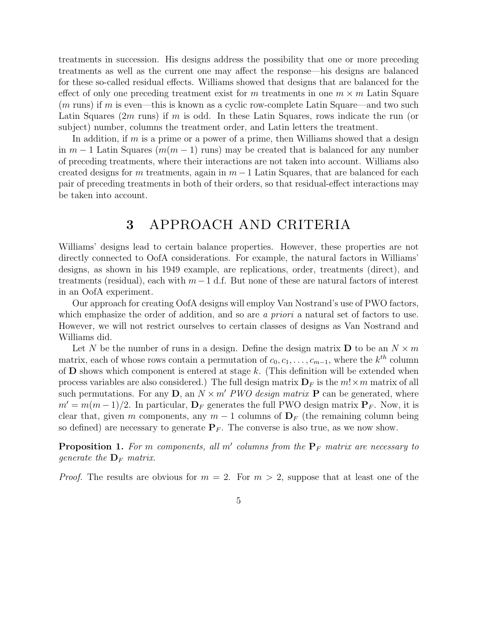treatments in succession. His designs address the possibility that one or more preceding treatments as well as the current one may affect the response—his designs are balanced for these so-called residual effects. Williams showed that designs that are balanced for the effect of only one preceding treatment exist for m treatments in one  $m \times m$  Latin Square  $(m \text{ runs})$  if m is even—this is known as a cyclic row-complete Latin Square—and two such Latin Squares  $(2m \text{ runs})$  if m is odd. In these Latin Squares, rows indicate the run (or subject) number, columns the treatment order, and Latin letters the treatment.

In addition, if  $m$  is a prime or a power of a prime, then Williams showed that a design in  $m-1$  Latin Squares  $(m(m-1))$  runs) may be created that is balanced for any number of preceding treatments, where their interactions are not taken into account. Williams also created designs for m treatments, again in  $m-1$  Latin Squares, that are balanced for each pair of preceding treatments in both of their orders, so that residual-effect interactions may be taken into account.

## 3 APPROACH AND CRITERIA

Williams' designs lead to certain balance properties. However, these properties are not directly connected to OofA considerations. For example, the natural factors in Williams' designs, as shown in his 1949 example, are replications, order, treatments (direct), and treatments (residual), each with  $m-1$  d.f. But none of these are natural factors of interest in an OofA experiment.

Our approach for creating OofA designs will employ Van Nostrand's use of PWO factors, which emphasize the order of addition, and so are a priori a natural set of factors to use. However, we will not restrict ourselves to certain classes of designs as Van Nostrand and Williams did.

Let N be the number of runs in a design. Define the design matrix **D** to be an  $N \times m$ matrix, each of whose rows contain a permutation of  $c_0, c_1, \ldots, c_{m-1}$ , where the  $k^{th}$  column of  **shows which component is entered at stage k. (This definition will be extended when** process variables are also considered.) The full design matrix  $\mathbf{D}_F$  is the  $m! \times m$  matrix of all such permutations. For any D, an  $N \times m'$  PWO design matrix P can be generated, where  $m' = m(m-1)/2$ . In particular,  $\mathbf{D}_F$  generates the full PWO design matrix  $\mathbf{P}_F$ . Now, it is clear that, given m components, any  $m-1$  columns of  $\mathbf{D}_F$  (the remaining column being so defined) are necessary to generate  $P_F$ . The converse is also true, as we now show.

**Proposition 1.** For m components, all m' columns from the  $P_F$  matrix are necessary to generate the  $\mathbf{D}_F$  matrix.

*Proof.* The results are obvious for  $m = 2$ . For  $m > 2$ , suppose that at least one of the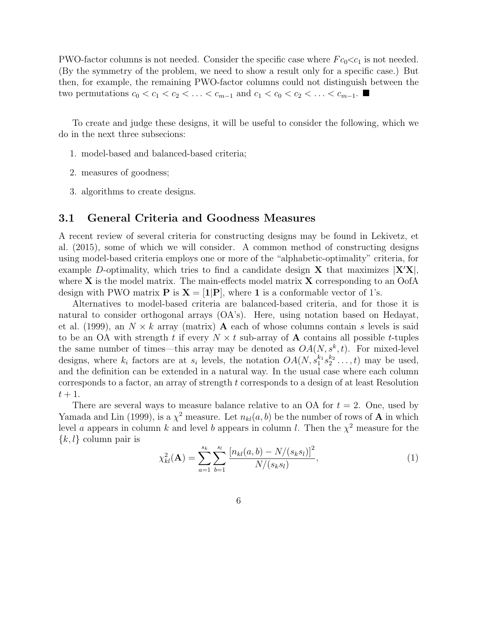PWO-factor columns is not needed. Consider the specific case where  $Fc_0 \ll c_1$  is not needed. (By the symmetry of the problem, we need to show a result only for a specific case.) But then, for example, the remaining PWO-factor columns could not distinguish between the two permutations  $c_0 < c_1 < c_2 < \ldots < c_{m-1}$  and  $c_1 < c_0 < c_2 < \ldots < c_{m-1}$ .

To create and judge these designs, it will be useful to consider the following, which we do in the next three subsecions:

- 1. model-based and balanced-based criteria;
- 2. measures of goodness;
- 3. algorithms to create designs.

#### 3.1 General Criteria and Goodness Measures

A recent review of several criteria for constructing designs may be found in Lekivetz, et al. (2015), some of which we will consider. A common method of constructing designs using model-based criteria employs one or more of the "alphabetic-optimality" criteria, for example D-optimality, which tries to find a candidate design **X** that maximizes  $|X'X|$ , where  $X$  is the model matrix. The main-effects model matrix  $X$  corresponding to an OofA design with PWO matrix **P** is  $X = [1|P]$ , where 1 is a conformable vector of 1's.

Alternatives to model-based criteria are balanced-based criteria, and for those it is natural to consider orthogonal arrays (OA's). Here, using notation based on Hedayat, et al. (1999), an  $N \times k$  array (matrix) **A** each of whose columns contain s levels is said to be an OA with strength t if every  $N \times t$  sub-array of **A** contains all possible t-tuples the same number of times—this array may be denoted as  $OA(N, s^k, t)$ . For mixed-level designs, where  $k_i$  factors are at  $s_i$  levels, the notation  $OA(N, s_1^{k_1} s_2^{k_2} \ldots, t)$  may be used, and the definition can be extended in a natural way. In the usual case where each column corresponds to a factor, an array of strength t corresponds to a design of at least Resolution  $t+1$ .

There are several ways to measure balance relative to an OA for  $t = 2$ . One, used by Yamada and Lin (1999), is a  $\chi^2$  measure. Let  $n_{kl}(a, b)$  be the number of rows of **A** in which level a appears in column k and level b appears in column l. Then the  $\chi^2$  measure for the  $\{k, l\}$  column pair is

$$
\chi_{kl}^2(\mathbf{A}) = \sum_{a=1}^{s_k} \sum_{b=1}^{s_l} \frac{\left[n_{kl}(a,b) - N/(s_k s_l)\right]^2}{N/(s_k s_l)},\tag{1}
$$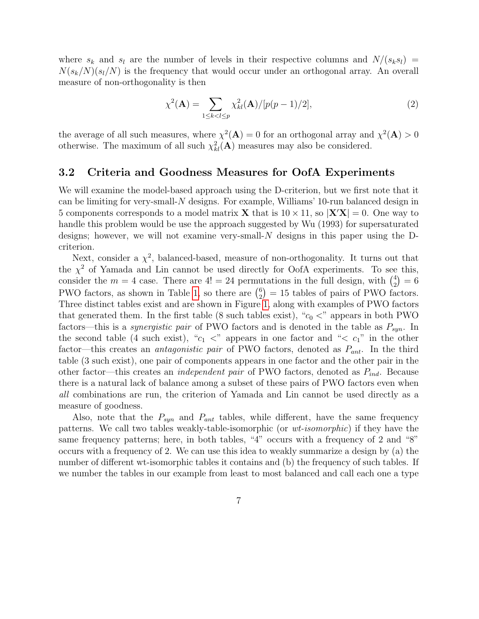where  $s_k$  and  $s_l$  are the number of levels in their respective columns and  $N/(s_ks_l)$  =  $N(s_k/N)(s_l/N)$  is the frequency that would occur under an orthogonal array. An overall measure of non-orthogonality is then

$$
\chi^{2}(\mathbf{A}) = \sum_{1 \le k < l \le p} \chi^{2}_{kl}(\mathbf{A}) / [p(p-1)/2],\tag{2}
$$

the average of all such measures, where  $\chi^2(A) = 0$  for an orthogonal array and  $\chi^2(A) > 0$ otherwise. The maximum of all such  $\chi^2_{kl}(\mathbf{A})$  measures may also be considered.

#### <span id="page-6-0"></span>3.2 Criteria and Goodness Measures for OofA Experiments

We will examine the model-based approach using the D-criterion, but we first note that it can be limiting for very-small-N designs. For example, Williams' 10-run balanced design in 5 components corresponds to a model matrix **X** that is  $10 \times 11$ , so  $|\mathbf{X}'\mathbf{X}| = 0$ . One way to handle this problem would be use the approach suggested by Wu (1993) for supersaturated designs; however, we will not examine very-small-N designs in this paper using the Dcriterion.

Next, consider a  $\chi^2$ , balanced-based, measure of non-orthogonality. It turns out that the  $\chi^2$  of Yamada and Lin cannot be used directly for OofA experiments. To see this, consider the  $m = 4$  case. There are  $4! = 24$  permutations in the full design, with  $\binom{4}{3}$  $_{2}^{4})=6$ PWO factors, as shown in Table [1,](#page-3-0) so there are  $\binom{6}{2}$  $_2^6$  = 15 tables of pairs of PWO factors. Three distinct tables exist and are shown in Figure [1,](#page-7-0) along with examples of PWO factors that generated them. In the first table (8 such tables exist), " $c_0$  <" appears in both PWO factors—this is a *synergistic pair* of PWO factors and is denoted in the table as  $P_{syn}$ . In the second table (4 such exist), " $c_1$  <" appears in one factor and " $\lt c_1$ " in the other factor—this creates an *antagonistic pair* of PWO factors, denoted as  $P_{ant}$ . In the third table (3 such exist), one pair of components appears in one factor and the other pair in the other factor—this creates an *independent pair* of PWO factors, denoted as  $P_{ind}$ . Because there is a natural lack of balance among a subset of these pairs of PWO factors even when all combinations are run, the criterion of Yamada and Lin cannot be used directly as a measure of goodness.

Also, note that the  $P_{syn}$  and  $P_{ant}$  tables, while different, have the same frequency patterns. We call two tables weakly-table-isomorphic (or wt-isomorphic) if they have the same frequency patterns; here, in both tables, "4" occurs with a frequency of 2 and "8" occurs with a frequency of 2. We can use this idea to weakly summarize a design by (a) the number of different wt-isomorphic tables it contains and (b) the frequency of such tables. If we number the tables in our example from least to most balanced and call each one a type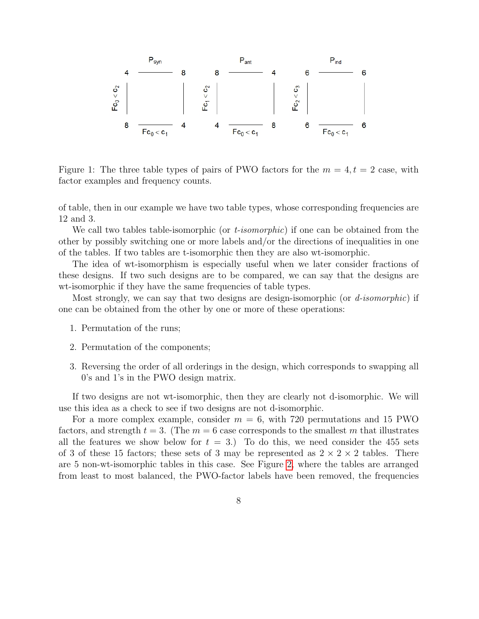

<span id="page-7-0"></span>Figure 1: The three table types of pairs of PWO factors for the  $m = 4, t = 2$  case, with factor examples and frequency counts.

of table, then in our example we have two table types, whose corresponding frequencies are 12 and 3.

We call two tables table-isomorphic (or *t-isomorphic*) if one can be obtained from the other by possibly switching one or more labels and/or the directions of inequalities in one of the tables. If two tables are t-isomorphic then they are also wt-isomorphic.

The idea of wt-isomorphism is especially useful when we later consider fractions of these designs. If two such designs are to be compared, we can say that the designs are wt-isomorphic if they have the same frequencies of table types.

Most strongly, we can say that two designs are design-isomorphic (or  $d$ -isomorphic) if one can be obtained from the other by one or more of these operations:

- 1. Permutation of the runs;
- 2. Permutation of the components;
- 3. Reversing the order of all orderings in the design, which corresponds to swapping all 0's and 1's in the PWO design matrix.

If two designs are not wt-isomorphic, then they are clearly not d-isomorphic. We will use this idea as a check to see if two designs are not d-isomorphic.

For a more complex example, consider  $m = 6$ , with 720 permutations and 15 PWO factors, and strength  $t = 3$ . (The  $m = 6$  case corresponds to the smallest m that illustrates all the features we show below for  $t = 3$ .) To do this, we need consider the 455 sets of 3 of these 15 factors; these sets of 3 may be represented as  $2 \times 2 \times 2$  tables. There are 5 non-wt-isomorphic tables in this case. See Figure [2,](#page-8-0) where the tables are arranged from least to most balanced, the PWO-factor labels have been removed, the frequencies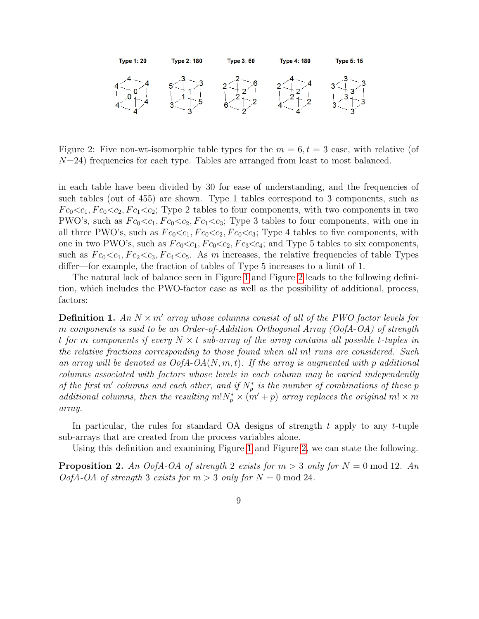

<span id="page-8-0"></span>Figure 2: Five non-wt-isomorphic table types for the  $m = 6, t = 3$  case, with relative (of  $N=24$ ) frequencies for each type. Tables are arranged from least to most balanced.

in each table have been divided by 30 for ease of understanding, and the frequencies of such tables (out of 455) are shown. Type 1 tables correspond to 3 components, such as  $Fc_0\ll_{c_1}Fc_0\ll_{c_2}Fc_1\ll_{c_2}$ ; Type 2 tables to four components, with two components in two PWO's, such as  $Fc_0 < c_1, Fc_0 < c_2, Fc_1 < c_3$ ; Type 3 tables to four components, with one in all three PWO's, such as  $Fc_0 \lt c_1, Fc_0 \lt c_2, Fc_0 \lt c_3$ ; Type 4 tables to five components, with one in two PWO's, such as  $Fc_0 \ll c_1, Fc_0 \ll c_2, Fc_3 \ll c_4$ ; and Type 5 tables to six components, such as  $Fc_0 < c_1, Fc_2 < c_3, Fc_4 < c_5$ . As m increases, the relative frequencies of table Types differ—for example, the fraction of tables of Type 5 increases to a limit of 1.

The natural lack of balance seen in Figure [1](#page-7-0) and Figure [2](#page-8-0) leads to the following definition, which includes the PWO-factor case as well as the possibility of additional, process, factors:

**Definition 1.** An  $N \times m'$  array whose columns consist of all of the PWO factor levels for m components is said to be an Order-of-Addition Orthogonal Array (OofA-OA) of strength t for m components if every  $N \times t$  sub-array of the array contains all possible t-tuples in the relative fractions corresponding to those found when all m! runs are considered. Such an array will be denoted as  $OofA-OA(N, m, t)$ . If the array is augmented with p additional columns associated with factors whose levels in each column may be varied independently of the first m' columns and each other, and if  $N_p^*$  is the number of combinations of these p additional columns, then the resulting  $m!N_p^* \times (m'+p)$  array replaces the original  $m! \times m$ array.

In particular, the rules for standard  $OA$  designs of strength t apply to any t-tuple sub-arrays that are created from the process variables alone.

Using this definition and examining Figure [1](#page-7-0) and Figure [2,](#page-8-0) we can state the following.

**Proposition 2.** An OofA-OA of strength 2 exists for  $m > 3$  only for  $N = 0 \text{ mod } 12$ . An  $OofA-OA$  of strength 3 exists for  $m > 3$  only for  $N = 0 \mod 24$ .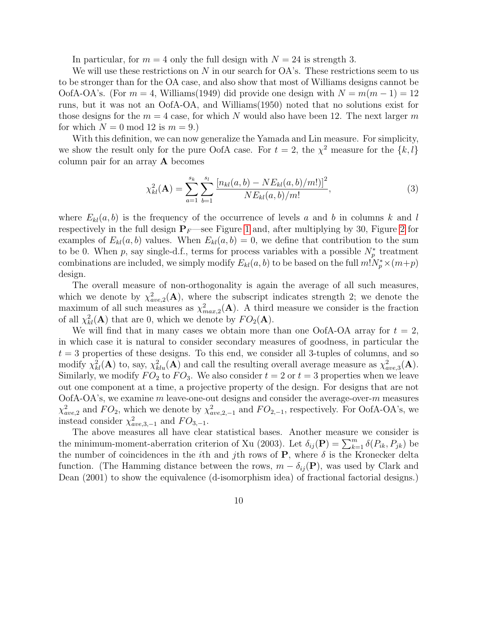In particular, for  $m = 4$  only the full design with  $N = 24$  is strength 3.

We will use these restrictions on  $N$  in our search for  $\overline{OA}$ 's. These restrictions seem to us to be stronger than for the OA case, and also show that most of Williams designs cannot be OofA-OA's. (For  $m = 4$ , Williams(1949) did provide one design with  $N = m(m - 1) = 12$ runs, but it was not an OofA-OA, and Williams(1950) noted that no solutions exist for those designs for the  $m = 4$  case, for which N would also have been 12. The next larger m for which  $N = 0 \text{ mod } 12$  is  $m = 9$ .

With this definition, we can now generalize the Yamada and Lin measure. For simplicity, we show the result only for the pure OofA case. For  $t = 2$ , the  $\chi^2$  measure for the  $\{k, l\}$ column pair for an array A becomes

$$
\chi_{kl}^2(\mathbf{A}) = \sum_{a=1}^{s_k} \sum_{b=1}^{s_l} \frac{\left[n_{kl}(a,b) - NE_{kl}(a,b)/m!\right]^2}{NE_{kl}(a,b)/m!},\tag{3}
$$

where  $E_{kl}(a, b)$  is the frequency of the occurrence of levels a and b in columns k and l respectively in the full design  $P_F$ —see Figure [1](#page-7-0) and, after multiplying by 30, Figure [2](#page-8-0) for examples of  $E_{kl}(a, b)$  values. When  $E_{kl}(a, b) = 0$ , we define that contribution to the sum to be 0. When p, say single-d.f., terms for process variables with a possible  $N_p^*$  treatment combinations are included, we simply modify  $E_{kl}(a, b)$  to be based on the full  $m!N_p^* \times (m+p)$ design.

The overall measure of non-orthogonality is again the average of all such measures, which we denote by  $\chi^2_{ave,2}(\mathbf{A})$ , where the subscript indicates strength 2; we denote the maximum of all such measures as  $\chi^2_{max,2}(\mathbf{A})$ . A third measure we consider is the fraction of all  $\chi^2_{kl}(\mathbf{A})$  that are 0, which we denote by  $FO_2(\mathbf{A})$ .

We will find that in many cases we obtain more than one OofA-OA array for  $t = 2$ , in which case it is natural to consider secondary measures of goodness, in particular the  $t = 3$  properties of these designs. To this end, we consider all 3-tuples of columns, and so modify  $\chi^2_{kl}(\mathbf{A})$  to, say,  $\chi^2_{klu}(\mathbf{A})$  and call the resulting overall average measure as  $\chi^2_{ave,3}(\mathbf{A})$ . Similarly, we modify  $FO_2$  to  $FO_3$ . We also consider  $t = 2$  or  $t = 3$  properties when we leave out one component at a time, a projective property of the design. For designs that are not  $OofA-OA's$ , we examine m leave-one-out designs and consider the average-over-m measures  $\chi^2_{ave,2}$  and  $FO_2$ , which we denote by  $\chi^2_{ave,2,-1}$  and  $FO_{2,-1}$ , respectively. For OofA-OA's, we instead consider  $\chi^2_{ave,3,-1}$  and  $FO_{3,-1}$ .

The above measures all have clear statistical bases. Another measure we consider is the minimum-moment-aberration criterion of Xu (2003). Let  $\delta_{ij}(\mathbf{P}) = \sum_{k=1}^{m} \delta(P_{ik}, P_{jk})$  be the number of coincidences in the *i*th and *j*th rows of **P**, where  $\delta$  is the Kronecker delta function. (The Hamming distance between the rows,  $m - \delta_{ij}(\mathbf{P})$ , was used by Clark and Dean (2001) to show the equivalence (d-isomorphism idea) of fractional factorial designs.)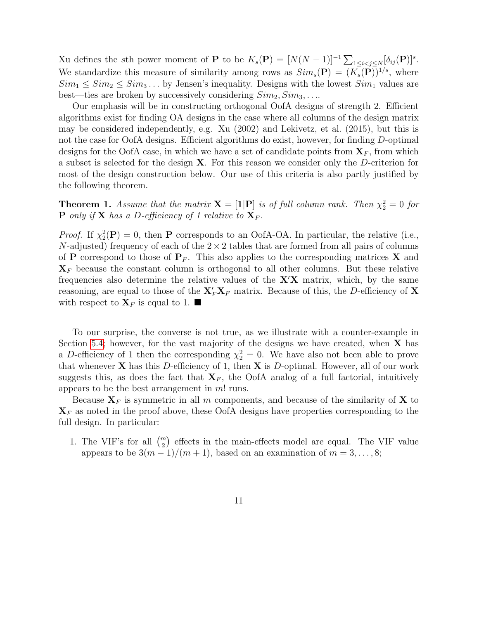Xu defines the sth power moment of **P** to be  $K_s(\mathbf{P}) = [N(N-1)]^{-1} \sum_{1 \leq i < j \leq N} [\delta_{ij}(\mathbf{P})]^s$ . We standardize this measure of similarity among rows as  $Sim_s(\mathbf{P}) = (K_s(\mathbf{P}))^{1/s}$ , where  $Sim_1 \leq Sim_2 \leq Sim_3 \dots$  by Jensen's inequality. Designs with the lowest  $Sim_1$  values are best—ties are broken by successively considering  $Sim_2, Sim_3, \ldots$ 

Our emphasis will be in constructing orthogonal OofA designs of strength 2. Efficient algorithms exist for finding OA designs in the case where all columns of the design matrix may be considered independently, e.g. Xu (2002) and Lekivetz, et al. (2015), but this is not the case for OofA designs. Efficient algorithms do exist, however, for finding D-optimal designs for the OofA case, in which we have a set of candidate points from  $X_F$ , from which a subset is selected for the design X. For this reason we consider only the D-criterion for most of the design construction below. Our use of this criteria is also partly justified by the following theorem.

**Theorem 1.** Assume that the matrix  $\mathbf{X} = [\mathbf{1} | \mathbf{P}]$  is of full column rank. Then  $\chi^2 = 0$  for **P** only if **X** has a D-efficiency of 1 relative to  $X_F$ .

*Proof.* If  $\chi^2_2(\mathbf{P}) = 0$ , then **P** corresponds to an OofA-OA. In particular, the relative (i.e., N-adjusted) frequency of each of the  $2 \times 2$  tables that are formed from all pairs of columns of **P** correspond to those of  $P_F$ . This also applies to the corresponding matrices **X** and  $X_F$  because the constant column is orthogonal to all other columns. But these relative frequencies also determine the relative values of the  $X'X$  matrix, which, by the same reasoning, are equal to those of the  $X'_F X_F$  matrix. Because of this, the D-efficiency of X with respect to  $\mathbf{X}_F$  is equal to 1.  $\blacksquare$ 

To our surprise, the converse is not true, as we illustrate with a counter-example in Section [5.4;](#page-16-0) however, for the vast majority of the designs we have created, when  $X$  has a D-efficiency of 1 then the corresponding  $\chi_2^2 = 0$ . We have also not been able to prove that whenever  $X$  has this D-efficiency of 1, then  $X$  is D-optimal. However, all of our work suggests this, as does the fact that  $X_F$ , the OofA analog of a full factorial, intuitively appears to be the best arrangement in  $m!$  runs.

Because  $X_F$  is symmetric in all m components, and because of the similarity of X to  $\mathbf{X}_F$  as noted in the proof above, these OofA designs have properties corresponding to the full design. In particular:

1. The VIF's for all  $\binom{m}{2}$  effects in the main-effects model are equal. The VIF value appears to be  $3(m-1)/(m+1)$ , based on an examination of  $m = 3, \ldots, 8;$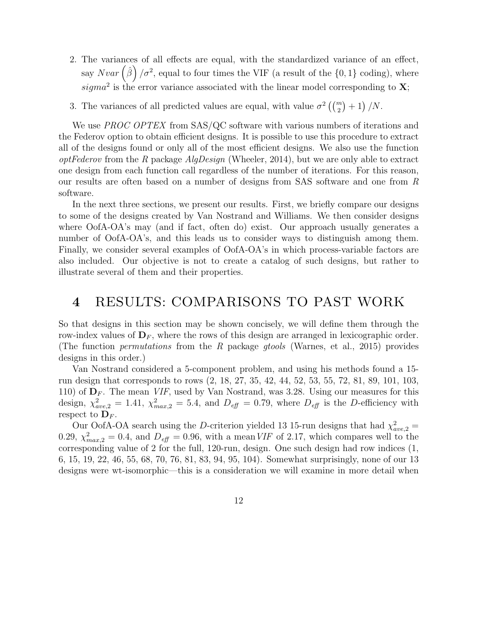2. The variances of all effects are equal, with the standardized variance of an effect, say  $Nvar\left(\hat{\beta}\right)/\sigma^2$ , equal to four times the VIF (a result of the  $\{0,1\}$  coding), where sigma<sup>2</sup> is the error variance associated with the linear model corresponding to  $X$ ;

3. The variances of all predicted values are equal, with value  $\sigma^2\left(\binom{m}{2}+1\right)/N$ .

We use *PROC OPTEX* from SAS/QC software with various numbers of iterations and the Federov option to obtain efficient designs. It is possible to use this procedure to extract all of the designs found or only all of the most efficient designs. We also use the function  $optFederox$  from the R package  $AlgDesign$  (Wheeler, 2014), but we are only able to extract one design from each function call regardless of the number of iterations. For this reason, our results are often based on a number of designs from SAS software and one from R software.

In the next three sections, we present our results. First, we briefly compare our designs to some of the designs created by Van Nostrand and Williams. We then consider designs where OofA-OA's may (and if fact, often do) exist. Our approach usually generates a number of OofA-OA's, and this leads us to consider ways to distinguish among them. Finally, we consider several examples of OofA-OA's in which process-variable factors are also included. Our objective is not to create a catalog of such designs, but rather to illustrate several of them and their properties.

### 4 RESULTS: COMPARISONS TO PAST WORK

So that designs in this section may be shown concisely, we will define them through the row-index values of  $\mathbf{D}_F$ , where the rows of this design are arranged in lexicographic order. (The function permutations from the R package gtools (Warnes, et al., 2015) provides designs in this order.)

Van Nostrand considered a 5-component problem, and using his methods found a 15 run design that corresponds to rows (2, 18, 27, 35, 42, 44, 52, 53, 55, 72, 81, 89, 101, 103, 110) of  $\mathbf{D}_F$ . The mean *VIF*, used by Van Nostrand, was 3.28. Using our measures for this design,  $\chi^2_{ave,2} = 1.41$ ,  $\chi^2_{max,2} = 5.4$ , and  $D_{\text{eff}} = 0.79$ , where  $D_{\text{eff}}$  is the D-efficiency with respect to  $\mathbf{D}_F$ .

Our OofA-OA search using the D-criterion yielded 13 15-run designs that had  $\chi^2_{ave,2}$  = 0.29,  $\chi^2_{max,2} = 0.4$ , and  $D_{\text{eff}} = 0.96$ , with a mean VIF of 2.17, which compares well to the corresponding value of 2 for the full, 120-run, design. One such design had row indices (1, 6, 15, 19, 22, 46, 55, 68, 70, 76, 81, 83, 94, 95, 104). Somewhat surprisingly, none of our 13 designs were wt-isomorphic—this is a consideration we will examine in more detail when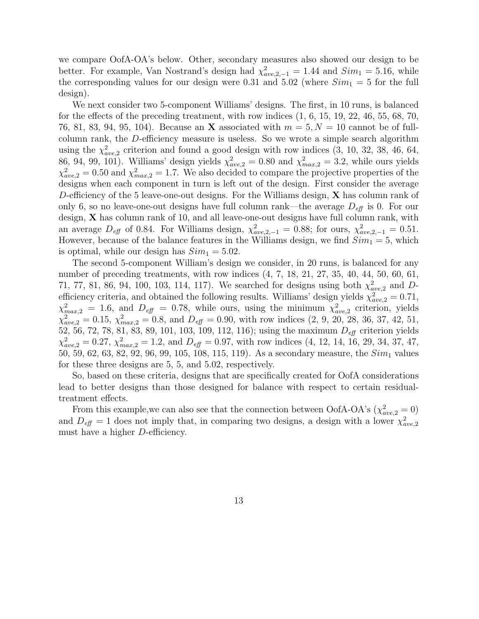we compare OofA-OA's below. Other, secondary measures also showed our design to be better. For example, Van Nostrand's design had  $\chi^2_{ave,2,-1} = 1.44$  and  $Sim_1 = 5.16$ , while the corresponding values for our design were 0.31 and 5.02 (where  $Sim_1 = 5$  for the full design).

We next consider two 5-component Williams' designs. The first, in 10 runs, is balanced for the effects of the preceding treatment, with row indices  $(1, 6, 15, 19, 22, 46, 55, 68, 70,$ 76, 81, 83, 94, 95, 104). Because an **X** associated with  $m = 5, N = 10$  cannot be of fullcolumn rank, the D-efficiency measure is useless. So we wrote a simple search algorithm using the  $\chi^2_{ave,2}$  criterion and found a good design with row indices  $(3, 10, 32, 38, 46, 64,$ 86, 94, 99, 101). Williams' design yields  $\chi^2_{ave,2} = 0.80$  and  $\chi^2_{max,2} = 3.2$ , while ours yields  $\chi^2_{ave,2} = 0.50$  and  $\chi^2_{max,2} = 1.7$ . We also decided to compare the projective properties of the designs when each component in turn is left out of the design. First consider the average D-efficiency of the 5 leave-one-out designs. For the Williams design,  $X$  has column rank of only 6, so no leave-one-out designs have full column rank—the average  $D_{\text{eff}}$  is 0. For our design, X has column rank of 10, and all leave-one-out designs have full column rank, with an average  $D_{\text{eff}}$  of 0.84. For Williams design,  $\chi^2_{ave,2,-1} = 0.88$ ; for ours,  $\chi^2_{ave,2,-1} = 0.51$ . However, because of the balance features in the Williams design, we find  $Sim_1 = 5$ , which is optimal, while our design has  $Sim_1 = 5.02$ .

The second 5-component William's design we consider, in 20 runs, is balanced for any number of preceding treatments, with row indices  $(4, 7, 18, 21, 27, 35, 40, 44, 50, 60, 61,$ 71, 77, 81, 86, 94, 100, 103, 114, 117). We searched for designs using both  $\chi^2_{ave,2}$  and Defficiency criteria, and obtained the following results. Williams' design yields  $\chi^2_{ave,2} = 0.71$ ,  $\chi^2_{max,2} = 1.6$ , and  $D_{\text{eff}} = 0.78$ , while ours, using the minimum  $\chi^2_{ave,2}$  criterion, yields  $\chi^2_{ave,2} = 0.15, \chi^2_{max,2} = 0.8$ , and  $D_{\text{eff}} = 0.90$ , with row indices  $(2, 9, 20, 28, 36, 37, 42, 51,$ 52, 56, 72, 78, 81, 83, 89, 101, 103, 109, 112, 116); using the maximum  $D_{\text{eff}}$  criterion yields  $\chi^2_{ave,2} = 0.27, \chi^2_{max,2} = 1.2, \text{ and } D_{\text{eff}} = 0.97, \text{ with row indices } (4, 12, 14, 16, 29, 34, 37, 47,$ 50, 59, 62, 63, 82, 92, 96, 99, 105, 108, 115, 119). As a secondary measure, the  $Sim_1$  values for these three designs are 5, 5, and 5.02, respectively.

So, based on these criteria, designs that are specifically created for OofA considerations lead to better designs than those designed for balance with respect to certain residualtreatment effects.

From this example, we can also see that the connection between OofA-OA's ( $\chi^2_{ave,2} = 0$ ) and  $D_{\text{eff}} = 1$  does not imply that, in comparing two designs, a design with a lower  $\chi^2_{ave,2}$ must have a higher D-efficiency.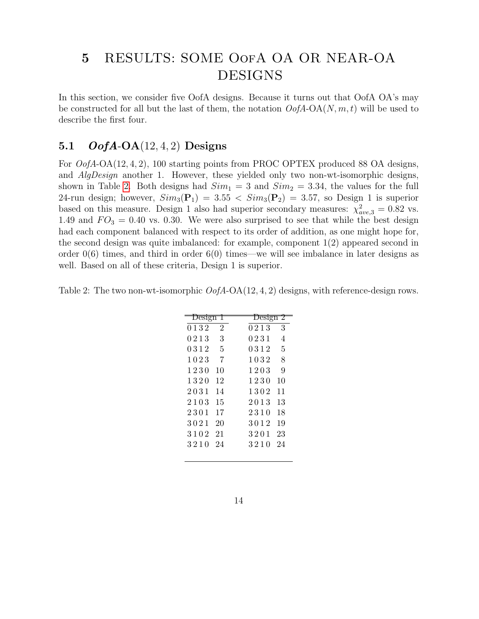## 5 RESULTS: SOME OofA OA OR NEAR-OA DESIGNS

In this section, we consider five OofA designs. Because it turns out that OofA OA's may be constructed for all but the last of them, the notation  $\mathcal{O}ofA\text{-OA}(N,m,t)$  will be used to describe the first four.

### 5.1  $OofA-OA(12, 4, 2)$  Designs

For *OofA*-OA(12, 4, 2), 100 starting points from PROC OPTEX produced 88 OA designs, and *AlgDesign* another 1. However, these yielded only two non-wt-isomorphic designs, shown in Table [2.](#page-13-0) Both designs had  $Sim_1 = 3$  and  $Sim_2 = 3.34$ , the values for the full 24-run design; however,  $Sim_3(\mathbf{P}_1) = 3.55 < Sim_3(\mathbf{P}_2) = 3.57$ , so Design 1 is superior based on this measure. Design 1 also had superior secondary measures:  $\chi^2_{ave,3} = 0.82$  vs. 1.49 and  $FO_3 = 0.40$  vs. 0.30. We were also surprised to see that while the best design had each component balanced with respect to its order of addition, as one might hope for, the second design was quite imbalanced: for example, component 1(2) appeared second in order  $0(6)$  times, and third in order  $6(0)$  times—we will see imbalance in later designs as well. Based on all of these criteria, Design 1 is superior.

<span id="page-13-0"></span>Table 2: The two non-wt-isomorphic  $OofA-OA(12, 4, 2)$  designs, with reference-design rows.

| Design         | Design 2 |
|----------------|----------|
| $\overline{2}$ | 0213     |
| 0132           | 3        |
| 3              | 0231     |
| 0213           | 4        |
| 0312           | 0312     |
| 5              | 5        |
| 1023           | 1032     |
| 7              | 8        |
| 1230           | 1203     |
| 10             | 9        |
| 12             | 1230     |
| 1320           | 10       |
| 2031           | 1302     |
| 14             | 11       |
| 2103           | 2013     |
| 15             | 13       |
| 2301           | 2310     |
| 17             | 18       |
| 3021           | 3012     |
| 20             | 19       |
| 3102           | 3201     |
| 21             | 23       |
| 3210           | 3210     |
| 24             | 24       |
|                |          |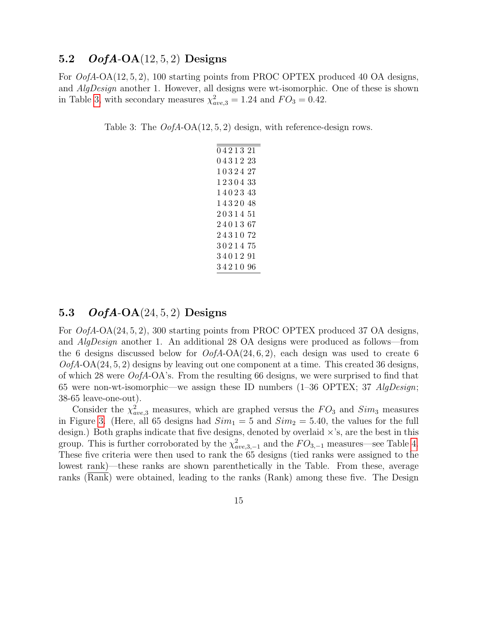### 5.2  $OofA-OA(12,5,2)$  Designs

For *OofA*-OA(12, 5, 2), 100 starting points from PROC OPTEX produced 40 OA designs, and *AlgDesign* another 1. However, all designs were wt-isomorphic. One of these is shown in Table [3,](#page-14-0) with secondary measures  $\chi^2_{ave,3} = 1.24$  and  $FO_3 = 0.42$ .

<span id="page-14-0"></span>Table 3: The  $OofA-OA(12, 5, 2)$  design, with reference-design rows.

#### 5.3  $OofA-OA(24, 5, 2)$  Designs

For OofA-OA(24, 5, 2), 300 starting points from PROC OPTEX produced 37 OA designs, and AlgDesign another 1. An additional 28 OA designs were produced as follows—from the 6 designs discussed below for  $OofA-OA(24, 6, 2)$ , each design was used to create 6  $OofA-OA(24, 5, 2)$  designs by leaving out one component at a time. This created 36 designs, of which 28 were  $OofA-OA$ 's. From the resulting 66 designs, we were surprised to find that 65 were non-wt-isomorphic—we assign these ID numbers  $(1-36$  OPTEX; 37  $AlqDesign$ ; 38-65 leave-one-out).

Consider the  $\chi^2_{ave,3}$  measures, which are graphed versus the  $FO_3$  and  $Sim_3$  measures in Figure [3.](#page-15-0) (Here, all 65 designs had  $Sim_1 = 5$  and  $Sim_2 = 5.40$ , the values for the full design.) Both graphs indicate that five designs, denoted by overlaid  $\times$ 's, are the best in this group. This is further corroborated by the  $\chi^2_{ave,3,-1}$  and the  $FO_{3,-1}$  measures—see Table [4.](#page-15-1) These five criteria were then used to rank the 65 designs (tied ranks were assigned to the lowest rank)—these ranks are shown parenthetically in the Table. From these, average ranks (Rank) were obtained, leading to the ranks (Rank) among these five. The Design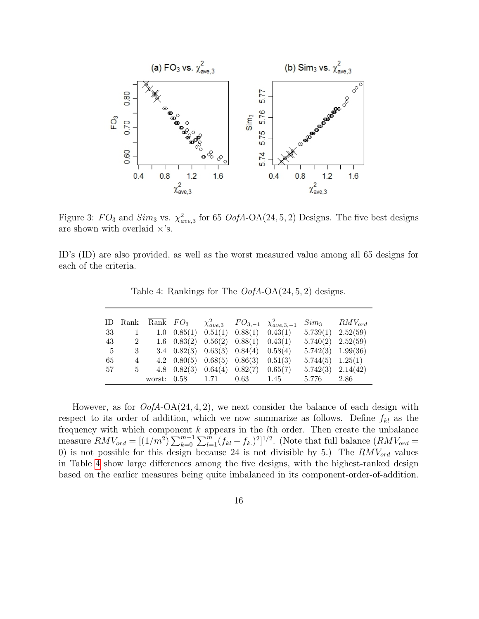

<span id="page-15-0"></span>Figure 3:  $FO_3$  and  $Sim_3$  vs.  $\chi^2_{ave,3}$  for 65  $OofA$ -OA(24, 5, 2) Designs. The five best designs are shown with overlaid  $\times$ 's.

ID's (ID) are also provided, as well as the worst measured value among all 65 designs for each of the criteria.

|    |                                      | ID Rank $\overline{\text{Rank}}$ $FO_3$ |                       |                                                               | $\chi^2_{ave,3}$ $FO_{3,-1}$ $\chi^2_{ave,3,-1}$ |                       | $Sim_3$ $RMV_{ord}$   |
|----|--------------------------------------|-----------------------------------------|-----------------------|---------------------------------------------------------------|--------------------------------------------------|-----------------------|-----------------------|
| 33 | $\begin{array}{ccc} & 1 \end{array}$ |                                         |                       | 1.0 $0.85(1)$ $0.51(1)$ $0.88(1)$ $0.43(1)$                   |                                                  |                       | $5.739(1)$ $2.52(59)$ |
| 43 | $\overline{\phantom{a}2}$            |                                         |                       | $1.6 \quad 0.83(2) \quad 0.56(2) \quad 0.88(1) \quad 0.43(1)$ |                                                  |                       | $5.740(2)$ $2.52(59)$ |
| -5 | 3                                    |                                         |                       | 3.4 $0.82(3)$ $0.63(3)$ $0.84(4)$ $0.58(4)$                   |                                                  |                       | $5.742(3)$ 1.99(36)   |
| 65 | 4                                    |                                         |                       | 4.2 $0.80(5)$ $0.68(5)$ $0.86(3)$                             | 0.51(3)                                          | $5.744(5)$ $1.25(1)$  |                       |
| 57 | 5                                    |                                         |                       | 4.8 $0.82(3)$ $0.64(4)$ $0.82(7)$ $0.65(7)$                   |                                                  | $5.742(3)$ $2.14(42)$ |                       |
|    |                                      |                                         | worst: 0.58 1.71 0.63 |                                                               | 1.45                                             | 5.776                 | 2.86                  |

<span id="page-15-1"></span>Table 4: Rankings for The  $OofA-OA(24, 5, 2)$  designs.

However, as for  $OofA-OA(24, 4, 2)$ , we next consider the balance of each design with respect to its order of addition, which we now summarize as follows. Define  $f_{kl}$  as the frequency with which component  $k$  appears in the  $l$ th order. Then create the unbalance measure  $RMV_{ord} = [(1/m^2)\sum_{k=0}^{m-1}\sum_{l=1}^{m} (f_{kl} - \overline{f_k})^2]^{1/2}$ . (Note that full balance  $(RMV_{ord} =$ 0) is not possible for this design because 24 is not divisible by 5.) The  $RMV_{ord}$  values in Table [4](#page-15-1) show large differences among the five designs, with the highest-ranked design based on the earlier measures being quite imbalanced in its component-order-of-addition.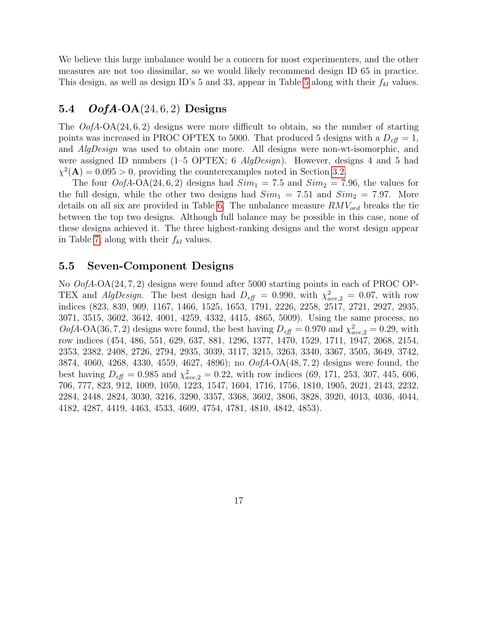We believe this large imbalance would be a concern for most experimenters, and the other measures are not too dissimilar, so we would likely recommend design ID 65 in practice. This design, as well as design ID's [5](#page-17-0) and 33, appear in Table 5 along with their  $f_{kl}$  values.

### <span id="page-16-0"></span>5.4  $OofA-OA(24,6,2)$  Designs

The  $OofA-OA(24, 6, 2)$  designs were more difficult to obtain, so the number of starting points was increased in PROC OPTEX to 5000. That produced 5 designs with a  $D_{\text{eff}} = 1$ , and AlgDesign was used to obtain one more. All designs were non-wt-isomorphic, and were assigned ID numbers (1–5 OPTEX; 6  $AlqDesign$ ). However, designs 4 and 5 had  $\chi^2(A) = 0.095 > 0$ , providing the counterexamples noted in Section [3.2.](#page-6-0)

The four  $OofA-OA(24,6,2)$  designs had  $Sim_1 = 7.5$  and  $Sim_2 = 7.96$ , the values for the full design, while the other two designs had  $Sim_1 = 7.51$  and  $Sim_2 = 7.97$ . More details on all six are provided in Table [6.](#page-18-0) The unbalance measure  $RMV_{ord}$  breaks the tie between the top two designs. Although full balance may be possible in this case, none of these designs achieved it. The three highest-ranking designs and the worst design appear in Table [7,](#page-19-0) along with their  $f_{kl}$  values.

#### 5.5 Seven-Component Designs

No OofA-OA(24, 7, 2) designs were found after 5000 starting points in each of PROC OP-TEX and AlgDesign. The best design had  $D_{\text{eff}} = 0.990$ , with  $\chi^2_{\text{ave},2} = 0.07$ , with row indices (823, 839, 909, 1167, 1466, 1525, 1653, 1791, 2226, 2258, 2517, 2721, 2927, 2935, 3071, 3515, 3602, 3642, 4001, 4259, 4332, 4415, 4865, 5009). Using the same process, no  $OofA-OA(36, 7, 2)$  designs were found, the best having  $D_{\text{eff}} = 0.970$  and  $\chi^2_{ave,2} = 0.29$ , with row indices (454, 486, 551, 629, 637, 881, 1296, 1377, 1470, 1529, 1711, 1947, 2068, 2154, 2353, 2382, 2408, 2726, 2794, 2935, 3039, 3117, 3215, 3263, 3340, 3367, 3505, 3649, 3742, 3874, 4060, 4268, 4330, 4559, 4627, 4896); no OofA-OA(48, 7, 2) designs were found, the best having  $D_{\text{eff}} = 0.985$  and  $\chi^2_{\text{ave},2} = 0.22$ , with row indices (69, 171, 253, 307, 445, 606, 706, 777, 823, 912, 1009, 1050, 1223, 1547, 1604, 1716, 1756, 1810, 1905, 2021, 2143, 2232, 2284, 2448, 2824, 3030, 3216, 3290, 3357, 3368, 3602, 3806, 3828, 3920, 4013, 4036, 4044, 4182, 4287, 4419, 4463, 4533, 4609, 4754, 4781, 4810, 4842, 4853).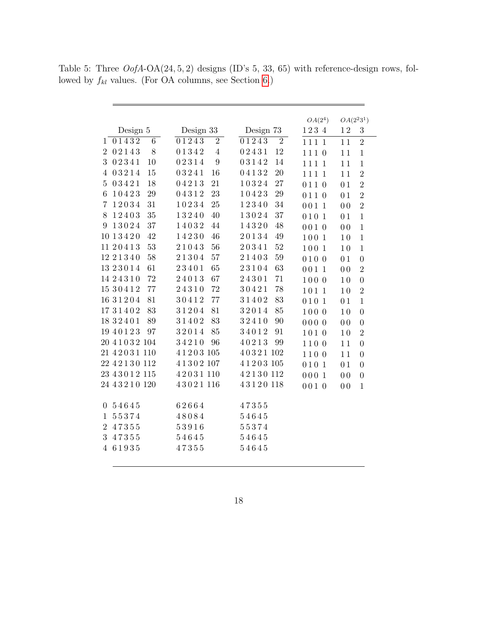<span id="page-17-0"></span>

|  | Table 5: Three $OofA-OA(24, 5, 2)$ designs (ID's 5, 33, 65) with reference-design rows, fol- |  |  |  |  |  |
|--|----------------------------------------------------------------------------------------------|--|--|--|--|--|
|  | lowed by $f_{kl}$ values. (For OA columns, see Section 6.)                                   |  |  |  |  |  |

L.

|                 |                    |    |                 |                |           |                | $OA(2^4)$ | $OA(2^{2}3^{1})$ |                  |
|-----------------|--------------------|----|-----------------|----------------|-----------|----------------|-----------|------------------|------------------|
|                 | Design 5           |    | Design 33       |                | Design 73 |                | 1234      | $1\,2$           | 3                |
| 1               | 01432              | 6  | 01243           | $\sqrt{2}$     | 01243     | $\overline{2}$ | 1111      | 11               | $\overline{2}$   |
| $\overline{2}$  | 02143              | 8  | $0\,1\,3\,4\,2$ | $\overline{4}$ | 02431     | 12             | 1110      | 11               | $\mathbf{1}$     |
| 3               | 02341              | 10 | 02314           | 9              | 03142     | 14             | 1111      | 11               | $\mathbf{1}$     |
| 4               | 03214              | 15 | 03241           | 16             | 04132     | 20             | 1111      | 11               | $\overline{2}$   |
| $5\overline{)}$ | 03421              | 18 | 04213           | 21             | 10324     | $27\,$         | 0110      | 01               | $\overline{2}$   |
| $\,6\,$         | 10423              | 29 | 04312           | 23             | 10423     | $\,29$         | 0110      | 0 <sub>1</sub>   | $\overline{2}$   |
| 7               | 12034              | 31 | 10234           | 25             | 12340     | $34\,$         | 0011      | 0 <sub>0</sub>   | $\overline{2}$   |
| 8               | 12403              | 35 | 13240           | 40             | 13024     | $37\,$         | 0101      | 01               | $\mathbf{1}$     |
| 9               | 13024              | 37 | 14032           | 44             | 14320     | $48\,$         | 0010      | 0 <sub>0</sub>   | $\mathbf{1}$     |
|                 | 10 13420           | 42 | 14230           | 46             | 20134     | $49\,$         | 100 1     | 10               | $\mathbf{1}$     |
|                 | 11 20413           | 53 | 21043           | 56             | 20341     | $52\,$         | 100 1     | 10               | $\mathbf{1}$     |
|                 | 1221340            | 58 | $2\,1\,3\,0\,4$ | 57             | 21403     | $59\,$         | 0100      | 01               | $\boldsymbol{0}$ |
|                 | 1323014            | 61 | 23401           | 65             | 23104     | 63             | 0011      | 0 <sub>0</sub>   | $\overline{2}$   |
|                 | 1424310            | 72 | 24013           | 67             | 24301     | 71             | 1000      | 10               | $\boldsymbol{0}$ |
|                 | 1530412            | 77 | 24310           | 72             | 30421     | 78             | 1011      | 10               | $\overline{2}$   |
|                 | 1631204            | 81 | 30412           | 77             | 31402     | 83             | 0101      | 01               | $\mathbf{1}$     |
|                 | 1731402            | 83 | 31204           | 81             | 32014     | 85             | 1000      | 10               | $\boldsymbol{0}$ |
|                 | 1832401            | 89 | 31402           | 83             | 32410     | 90             | 0000      | 0 <sub>0</sub>   | $\boldsymbol{0}$ |
|                 | 1940123            | 97 | 32014           | 85             | 34012     | 91             | 1010      | 10               | $\overline{2}$   |
|                 | 20 4 1 0 3 2 1 0 4 |    | 34210           | 96             | 40213     | 99             | 1100      | 11               | $\boldsymbol{0}$ |
|                 | 21 4 2 0 3 1 1 1 0 |    | 41203105        |                | 40321102  |                | 1100      | 11               | $\boldsymbol{0}$ |
|                 | 22 4 2 1 3 0 1 1 2 |    | 41302107        |                | 41203105  |                | 0101      | 01               | $\overline{0}$   |
|                 | 23 4 3 0 1 2 1 1 5 |    | 42031110        |                | 42130112  |                | 0001      | 0 <sub>0</sub>   | $\boldsymbol{0}$ |
|                 | 24 43210 120       |    | 43021 116       |                | 43120118  |                | 0010      | 0 <sub>0</sub>   | $\mathbf{1}$     |
|                 |                    |    |                 |                |           |                |           |                  |                  |
|                 | 0 54645            |    | 62664           |                | 47355     |                |           |                  |                  |
| $\mathbf{1}$    | 55374              |    | 48084           |                | 54645     |                |           |                  |                  |
| $\overline{2}$  | 47355              |    | 53916           |                | 55374     |                |           |                  |                  |
| 3               | 47355              |    | 54645           |                | 54645     |                |           |                  |                  |
| $\overline{4}$  | 61935              |    | 47355           |                | 54645     |                |           |                  |                  |
|                 |                    |    |                 |                |           |                |           |                  |                  |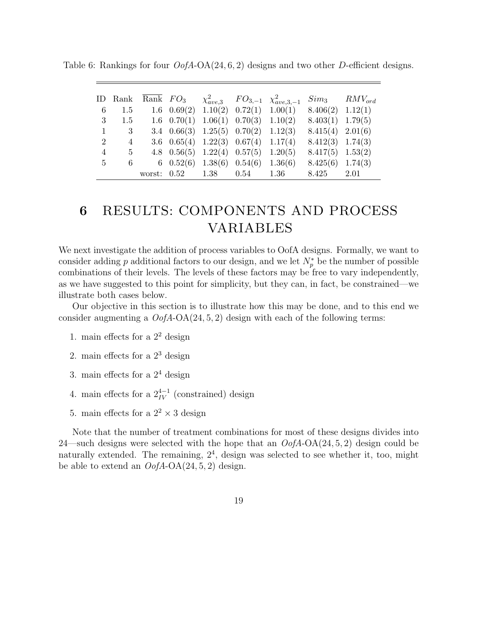<span id="page-18-0"></span>

|                 | ID Rank        | Rank $FO3$ |                       |                                               | $\chi^2_{ave,3}$ $FO_{3,-1}$ $\chi^2_{ave,3,-1}$ | $Sim_3$ $RMV_{ord}$ |      |
|-----------------|----------------|------------|-----------------------|-----------------------------------------------|--------------------------------------------------|---------------------|------|
| 6               | 1.5            |            |                       | 1.6 $0.69(2)$ 1.10(2) 0.72(1) 1.00(1)         |                                                  | $8.406(2)$ 1.12(1)  |      |
| 3               | 1.5            |            |                       | $1.6$ $0.70(1)$ $1.06(1)$ $0.70(3)$ $1.10(2)$ |                                                  | $8.403(1)$ 1.79(5)  |      |
| 1               | - 3            |            |                       | 3.4 $0.66(3)$ 1.25(5) $0.70(2)$ 1.12(3)       |                                                  | $8.415(4)$ 2.01(6)  |      |
| 2               | $\overline{4}$ |            |                       | 3.6 $0.65(4)$ 1.22(3) $0.67(4)$ 1.17(4)       |                                                  | $8.412(3)$ 1.74(3)  |      |
| 4               | 5              |            |                       | 4.8 $0.56(5)$ 1.22(4) $0.57(5)$ 1.20(5)       |                                                  | $8.417(5)$ 1.53(2)  |      |
| $5\overline{)}$ | 6              |            |                       | 6 $0.52(6)$ 1.38(6) $0.54(6)$ 1.36(6)         |                                                  | $8.425(6)$ 1.74(3)  |      |
|                 |                |            | worst: 0.52 1.38 0.54 |                                               | $1.36\,$                                         | 8.425               | 2.01 |

Table 6: Rankings for four  $OofA-OA(24, 6, 2)$  designs and two other D-efficient designs.

## <span id="page-18-1"></span>6 RESULTS: COMPONENTS AND PROCESS VARIABLES

We next investigate the addition of process variables to OofA designs. Formally, we want to consider adding p additional factors to our design, and we let  $N_p^*$  be the number of possible combinations of their levels. The levels of these factors may be free to vary independently, as we have suggested to this point for simplicity, but they can, in fact, be constrained—we illustrate both cases below.

Our objective in this section is to illustrate how this may be done, and to this end we consider augmenting a  $OofA-OA(24, 5, 2)$  design with each of the following terms:

- 1. main effects for a  $2^2$  design
- 2. main effects for a  $2^3$  design
- 3. main effects for a  $2<sup>4</sup>$  design
- 4. main effects for a  $2^{4-1}_{IV}$  (constrained) design
- 5. main effects for a  $2^2 \times 3$  design

Note that the number of treatment combinations for most of these designs divides into 24—such designs were selected with the hope that an  $OofA-OA(24, 5, 2)$  design could be naturally extended. The remaining,  $2<sup>4</sup>$ , design was selected to see whether it, too, might be able to extend an  $OofA-OA(24, 5, 2)$  design.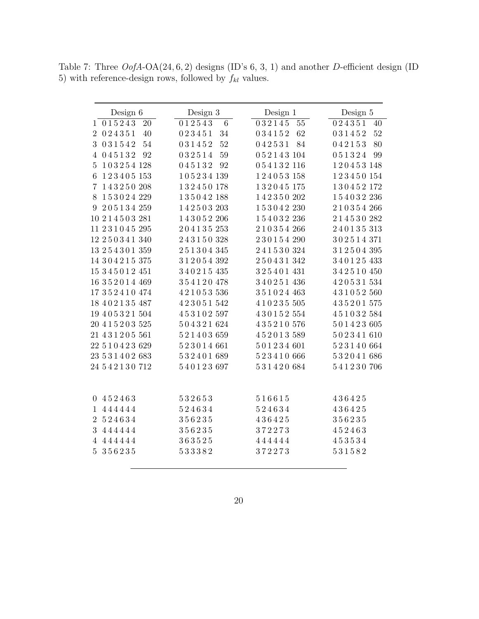<span id="page-19-0"></span>Table 7: Three OofA-OA(24, 6, 2) designs (ID's 6, 3, 1) and another D-efficient design (ID 5) with reference-design rows, followed by  $f_{kl}$  values.

| Design 6                         | Design 3                 | Design 1         | Design 5         |
|----------------------------------|--------------------------|------------------|------------------|
| 015243<br>$20\,$<br>$\mathbf{1}$ | 012543<br>$\,6\,$        | 032145<br>$55\,$ | 024351<br>40     |
| 024351<br>2<br>40                | 023451<br>34             | 034152<br>62     | 52<br>031452     |
| 031542<br>54<br>3                | 52<br>031452             | 042531<br>84     | 042153<br>80     |
| 045132<br>92<br>4                | 59<br>032514             | 052143104        | 051324<br>99     |
| 103254128<br>$5\overline{)}$     | 045132<br>92             | 054132116        | 120453148        |
| 123405153<br>6                   | $1\,0\,5\,2\,3\,4\,$ 139 | 124053158        | 123450154        |
| 143250208<br>7                   | 132450178                | 132045175        | 130452172        |
| 153024229<br>8                   | 135042188                | 142350202        | 154032236        |
| 205134259<br>9                   | 142503203                | 153042230        | 210354266        |
| 10 2 1 4 5 0 3 2 8 1             | 143052206                | 154032236        | 214530282        |
| 11 231045 295                    | 204135253                | 210354266        | 240135313        |
| 12 2 5 0 3 4 1 3 4 0             | 243150328                | 230154290        | 302514371        |
| 13 2 5 4 3 0 1 3 5 9             | 251304345                | 241530324        | 312504395        |
| 14 304215 375                    | 312054392                | 250431342        | 340125433        |
| 15 3 4 5 0 1 2 4 5 1             | 340215435                | 325401431        | 342510450        |
| 16 352014 469                    | 354120478                | 340251436        | 420531534        |
| 17352410474                      | 421053536                | 351024463        | 431052560        |
| 18 402135 487                    | 423051542                | 410235505        | 435201575        |
| 19 4 0 5 3 2 1 5 0 4             | 453102597                | 430152554        | 451032584        |
| 20 4 1 5 2 0 3 5 25              | 504321624                | 435210576        | 501423605        |
| 21 431205 561                    | 521403659                | 452013589        | 502341610        |
| 22 510423 629                    | 523014661                | 501234601        | 523140664        |
| 23 5 3 1 4 0 2 6 8 3             | 532401689                | 523410666        | 532041686        |
| 24 5 4 2 1 3 0 7 1 2             | 540123697                | 531420684        | 541230706        |
|                                  |                          |                  |                  |
|                                  |                          |                  |                  |
| 0 452463<br>444444               | 532653<br>524634         | 516615<br>524634 | 436425<br>436425 |
| $\mathbf{1}$                     |                          |                  |                  |
| 524634<br>$\overline{2}$         | 356235                   | 436425           | 356235           |
| 444444<br>3                      | 356235                   | 372273           | 452463           |
| 444444<br>$\overline{4}$         | 363525                   | 444444           | 453534           |
| 356235<br>$5\overline{)}$        | 533382                   | 372273           | 531582           |
|                                  |                          |                  |                  |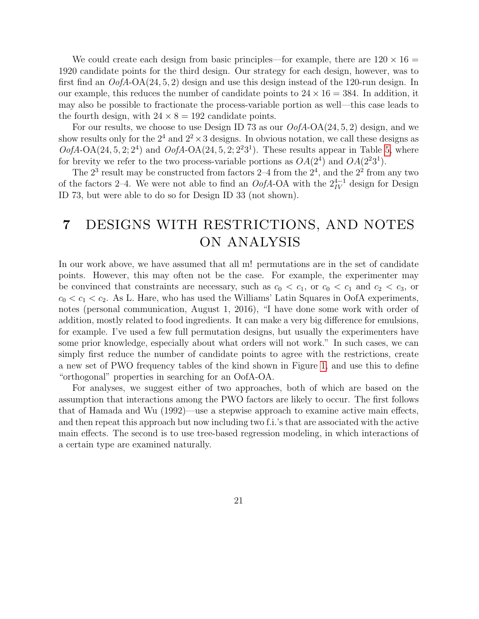We could create each design from basic principles—for example, there are  $120 \times 16 =$ 1920 candidate points for the third design. Our strategy for each design, however, was to first find an  $OofA-OA(24, 5, 2)$  design and use this design instead of the 120-run design. In our example, this reduces the number of candidate points to  $24 \times 16 = 384$ . In addition, it may also be possible to fractionate the process-variable portion as well—this case leads to the fourth design, with  $24 \times 8 = 192$  candidate points.

For our results, we choose to use Design ID 73 as our  $OofA-OA(24, 5, 2)$  design, and we show results only for the  $2^4$  and  $2^2 \times 3$  designs. In obvious notation, we call these designs as  $OofA-OA(24, 5, 2; 2<sup>4</sup>)$  $OofA-OA(24, 5, 2; 2<sup>4</sup>)$  $OofA-OA(24, 5, 2; 2<sup>4</sup>)$  and  $OofA-OA(24, 5, 2; 2<sup>2</sup>3<sup>1</sup>)$ . These results appear in Table 5, where for brevity we refer to the two process-variable portions as  $OA(2^4)$  and  $OA(2^23^1)$ .

The  $2^3$  result may be constructed from factors  $2-4$  from the  $2^4$ , and the  $2^2$  from any two of the factors 2–4. We were not able to find an  $OofA$ -OA with the  $2^{4-1}_{IV}$  design for Design ID 73, but were able to do so for Design ID 33 (not shown).

## 7 DESIGNS WITH RESTRICTIONS, AND NOTES ON ANALYSIS

In our work above, we have assumed that all m! permutations are in the set of candidate points. However, this may often not be the case. For example, the experimenter may be convinced that constraints are necessary, such as  $c_0 < c_1$ , or  $c_0 < c_1$  and  $c_2 < c_3$ , or  $c_0 < c_1 < c_2$ . As L. Hare, who has used the Williams' Latin Squares in OofA experiments, notes (personal communication, August 1, 2016), "I have done some work with order of addition, mostly related to food ingredients. It can make a very big difference for emulsions, for example. I've used a few full permutation designs, but usually the experimenters have some prior knowledge, especially about what orders will not work." In such cases, we can simply first reduce the number of candidate points to agree with the restrictions, create a new set of PWO frequency tables of the kind shown in Figure [1,](#page-7-0) and use this to define "orthogonal" properties in searching for an OofA-OA.

For analyses, we suggest either of two approaches, both of which are based on the assumption that interactions among the PWO factors are likely to occur. The first follows that of Hamada and Wu (1992)—use a stepwise approach to examine active main effects, and then repeat this approach but now including two f.i.'s that are associated with the active main effects. The second is to use tree-based regression modeling, in which interactions of a certain type are examined naturally.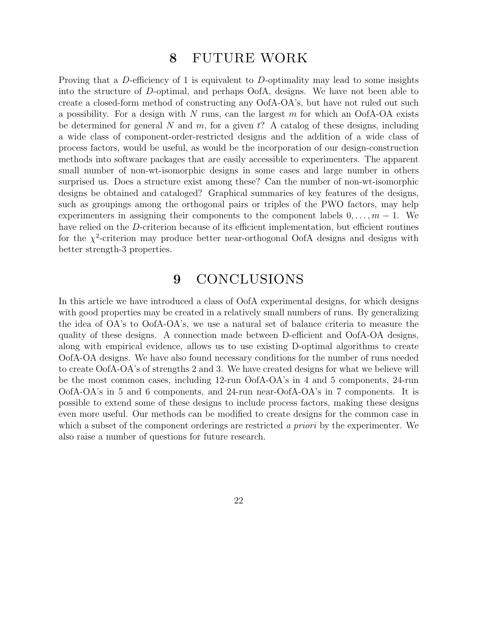## 8 FUTURE WORK

Proving that a D-efficiency of 1 is equivalent to D-optimality may lead to some insights into the structure of D-optimal, and perhaps OofA, designs. We have not been able to create a closed-form method of constructing any OofA-OA's, but have not ruled out such a possibility. For a design with N runs, can the largest  $m$  for which an OofA-OA exists be determined for general N and  $m$ , for a given t? A catalog of these designs, including a wide class of component-order-restricted designs and the addition of a wide class of process factors, would be useful, as would be the incorporation of our design-construction methods into software packages that are easily accessible to experimenters. The apparent small number of non-wt-isomorphic designs in some cases and large number in others surprised us. Does a structure exist among these? Can the number of non-wt-isomorphic designs be obtained and cataloged? Graphical summaries of key features of the designs, such as groupings among the orthogonal pairs or triples of the PWO factors, may help experimenters in assigning their components to the component labels  $0, \ldots, m-1$ . We have relied on the D-criterion because of its efficient implementation, but efficient routines for the  $\chi^2$ -criterion may produce better near-orthogonal OofA designs and designs with better strength-3 properties.

### 9 CONCLUSIONS

In this article we have introduced a class of OofA experimental designs, for which designs with good properties may be created in a relatively small numbers of runs. By generalizing the idea of OA's to OofA-OA's, we use a natural set of balance criteria to measure the quality of these designs. A connection made between D-efficient and OofA-OA designs, along with empirical evidence, allows us to use existing D-optimal algorithms to create OofA-OA designs. We have also found necessary conditions for the number of runs needed to create OofA-OA's of strengths 2 and 3. We have created designs for what we believe will be the most common cases, including 12-run OofA-OA's in 4 and 5 components, 24-run OofA-OA's in 5 and 6 components, and 24-run near-OofA-OA's in 7 components. It is possible to extend some of these designs to include process factors, making these designs even more useful. Our methods can be modified to create designs for the common case in which a subset of the component orderings are restricted a priori by the experimenter. We also raise a number of questions for future research.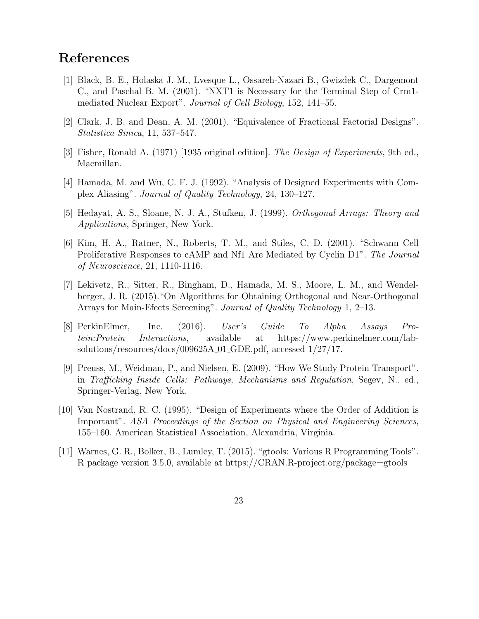## References

- [1] Black, B. E., Holaska J. M., Lvesque L., Ossareh-Nazari B., Gwizdek C., Dargemont C., and Paschal B. M. (2001). "NXT1 is Necessary for the Terminal Step of Crm1 mediated Nuclear Export". Journal of Cell Biology, 152, 141–55.
- [2] Clark, J. B. and Dean, A. M. (2001). "Equivalence of Fractional Factorial Designs". Statistica Sinica, 11, 537–547.
- [3] Fisher, Ronald A. (1971) [1935 original edition]. The Design of Experiments, 9th ed., Macmillan.
- [4] Hamada, M. and Wu, C. F. J. (1992). "Analysis of Designed Experiments with Complex Aliasing". Journal of Quality Technology, 24, 130–127.
- [5] Hedayat, A. S., Sloane, N. J. A., Stufken, J. (1999). Orthogonal Arrays: Theory and Applications, Springer, New York.
- [6] Kim, H. A., Ratner, N., Roberts, T. M., and Stiles, C. D. (2001). "Schwann Cell Proliferative Responses to cAMP and Nf1 Are Mediated by Cyclin D1". The Journal of Neuroscience, 21, 1110-1116.
- [7] Lekivetz, R., Sitter, R., Bingham, D., Hamada, M. S., Moore, L. M., and Wendelberger, J. R. (2015)."On Algorithms for Obtaining Orthogonal and Near-Orthogonal Arrays for Main-Efects Screening". Journal of Quality Technology 1, 2–13.
- [8] PerkinElmer, Inc. (2016). User's Guide To Alpha Assays Protein:Protein Interactions, available at https://www.perkinelmer.com/labsolutions/resources/docs/009625A 01 GDE.pdf, accessed 1/27/17.
- [9] Preuss, M., Weidman, P., and Nielsen, E. (2009). "How We Study Protein Transport". in Trafficking Inside Cells: Pathways, Mechanisms and Regulation, Segev, N., ed., Springer-Verlag, New York.
- [10] Van Nostrand, R. C. (1995). "Design of Experiments where the Order of Addition is Important". ASA Proceedings of the Section on Physical and Engineering Sciences, 155–160. American Statistical Association, Alexandria, Virginia.
- [11] Warnes, G. R., Bolker, B., Lumley, T. (2015). "gtools: Various R Programming Tools". R package version 3.5.0, available at https://CRAN.R-project.org/package=gtools